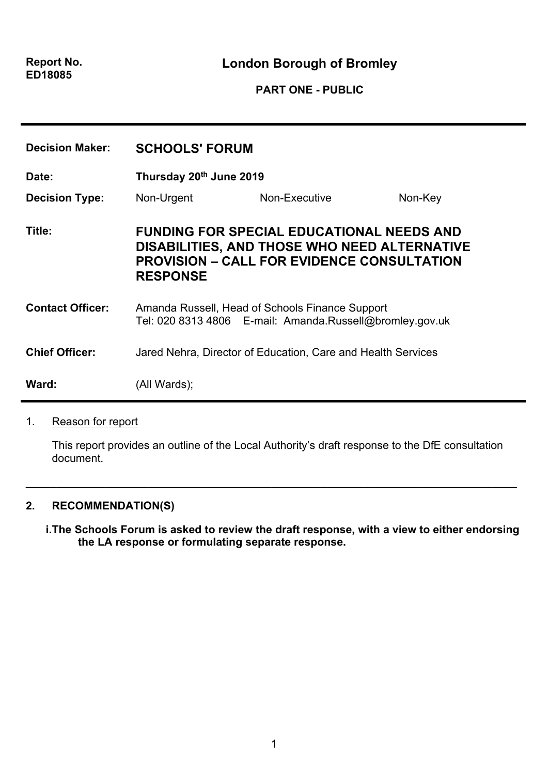**London Borough of Bromley**

## **PART ONE - PUBLIC**

| <b>Decision Maker:</b>  | <b>SCHOOLS' FORUM</b>                                                                                                                                                    |               |         |
|-------------------------|--------------------------------------------------------------------------------------------------------------------------------------------------------------------------|---------------|---------|
| Date:                   | Thursday 20th June 2019                                                                                                                                                  |               |         |
| <b>Decision Type:</b>   | Non-Urgent                                                                                                                                                               | Non-Executive | Non-Key |
| Title:                  | <b>FUNDING FOR SPECIAL EDUCATIONAL NEEDS AND</b><br>DISABILITIES, AND THOSE WHO NEED ALTERNATIVE<br><b>PROVISION – CALL FOR EVIDENCE CONSULTATION</b><br><b>RESPONSE</b> |               |         |
| <b>Contact Officer:</b> | Amanda Russell, Head of Schools Finance Support<br>Tel: 020 8313 4806 E-mail: Amanda.Russell@bromley.gov.uk                                                              |               |         |
| <b>Chief Officer:</b>   | Jared Nehra, Director of Education, Care and Health Services                                                                                                             |               |         |
| Ward:                   | (All Wards);                                                                                                                                                             |               |         |

## 1. Reason for report

This report provides an outline of the Local Authority's draft response to the DfE consultation document.

\_\_\_\_\_\_\_\_\_\_\_\_\_\_\_\_\_\_\_\_\_\_\_\_\_\_\_\_\_\_\_\_\_\_\_\_\_\_\_\_\_\_\_\_\_\_\_\_\_\_\_\_\_\_\_\_\_\_\_\_\_\_\_\_\_\_\_\_\_\_\_\_\_\_\_\_\_\_\_\_

## **2. RECOMMENDATION(S)**

**i.The Schools Forum is asked to review the draft response, with a view to either endorsing the LA response or formulating separate response.**